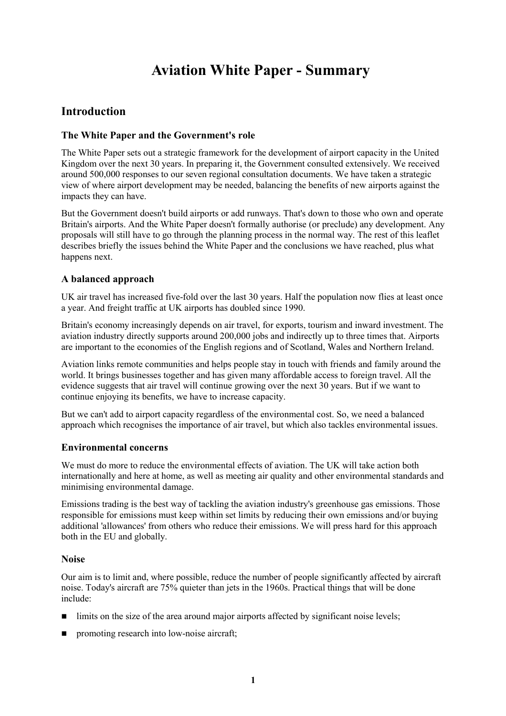# **Aviation White Paper - Summary**

# **Introduction**

#### **The White Paper and the Government's role**

The White Paper sets out a strategic framework for the development of airport capacity in the United Kingdom over the next 30 years. In preparing it, the Government consulted extensively. We received around 500,000 responses to our seven regional consultation documents. We have taken a strategic view of where airport development may be needed, balancing the benefits of new airports against the impacts they can have.

But the Government doesn't build airports or add runways. That's down to those who own and operate Britain's airports. And the White Paper doesn't formally authorise (or preclude) any development. Any proposals will still have to go through the planning process in the normal way. The rest of this leaflet describes briefly the issues behind the White Paper and the conclusions we have reached, plus what happens next.

### **A balanced approach**

UK air travel has increased five-fold over the last 30 years. Half the population now flies at least once a year. And freight traffic at UK airports has doubled since 1990.

Britain's economy increasingly depends on air travel, for exports, tourism and inward investment. The aviation industry directly supports around 200,000 jobs and indirectly up to three times that. Airports are important to the economies of the English regions and of Scotland, Wales and Northern Ireland.

Aviation links remote communities and helps people stay in touch with friends and family around the world. It brings businesses together and has given many affordable access to foreign travel. All the evidence suggests that air travel will continue growing over the next 30 years. But if we want to continue enjoying its benefits, we have to increase capacity.

But we can't add to airport capacity regardless of the environmental cost. So, we need a balanced approach which recognises the importance of air travel, but which also tackles environmental issues.

#### **Environmental concerns**

We must do more to reduce the environmental effects of aviation. The UK will take action both internationally and here at home, as well as meeting air quality and other environmental standards and minimising environmental damage.

Emissions trading is the best way of tackling the aviation industry's greenhouse gas emissions. Those responsible for emissions must keep within set limits by reducing their own emissions and/or buying additional 'allowances' from others who reduce their emissions. We will press hard for this approach both in the EU and globally.

#### **Noise**

Our aim is to limit and, where possible, reduce the number of people significantly affected by aircraft noise. Today's aircraft are 75% quieter than jets in the 1960s. Practical things that will be done include:

- Imits on the size of the area around major airports affected by significant noise levels;
- **P** promoting research into low-noise aircraft;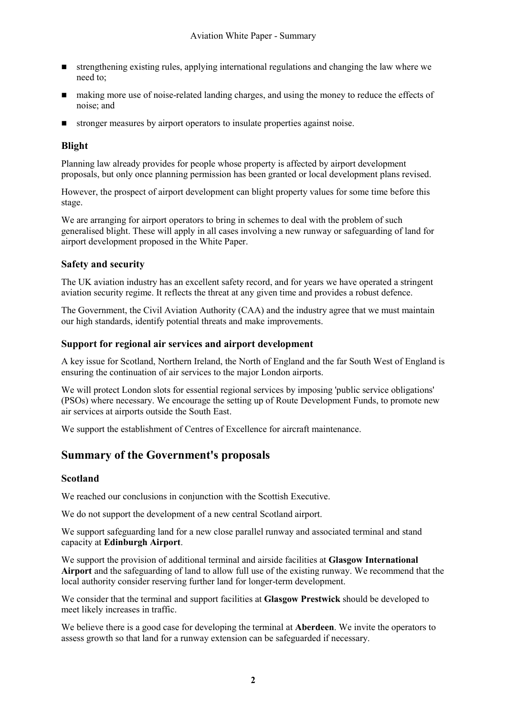- strengthening existing rules, applying international regulations and changing the law where we need to;
- making more use of noise-related landing charges, and using the money to reduce the effects of noise; and
- stronger measures by airport operators to insulate properties against noise.

### **Blight**

Planning law already provides for people whose property is affected by airport development proposals, but only once planning permission has been granted or local development plans revised.

However, the prospect of airport development can blight property values for some time before this stage.

We are arranging for airport operators to bring in schemes to deal with the problem of such generalised blight. These will apply in all cases involving a new runway or safeguarding of land for airport development proposed in the White Paper.

### **Safety and security**

The UK aviation industry has an excellent safety record, and for years we have operated a stringent aviation security regime. It reflects the threat at any given time and provides a robust defence.

The Government, the Civil Aviation Authority (CAA) and the industry agree that we must maintain our high standards, identify potential threats and make improvements.

### **Support for regional air services and airport development**

A key issue for Scotland, Northern Ireland, the North of England and the far South West of England is ensuring the continuation of air services to the major London airports.

We will protect London slots for essential regional services by imposing 'public service obligations' (PSOs) where necessary. We encourage the setting up of Route Development Funds, to promote new air services at airports outside the South East.

We support the establishment of Centres of Excellence for aircraft maintenance.

# **Summary of the Government's proposals**

#### **Scotland**

We reached our conclusions in conjunction with the Scottish Executive.

We do not support the development of a new central Scotland airport.

We support safeguarding land for a new close parallel runway and associated terminal and stand capacity at **Edinburgh Airport**.

We support the provision of additional terminal and airside facilities at **Glasgow International Airport** and the safeguarding of land to allow full use of the existing runway. We recommend that the local authority consider reserving further land for longer-term development.

We consider that the terminal and support facilities at **Glasgow Prestwick** should be developed to meet likely increases in traffic.

We believe there is a good case for developing the terminal at **Aberdeen**. We invite the operators to assess growth so that land for a runway extension can be safeguarded if necessary.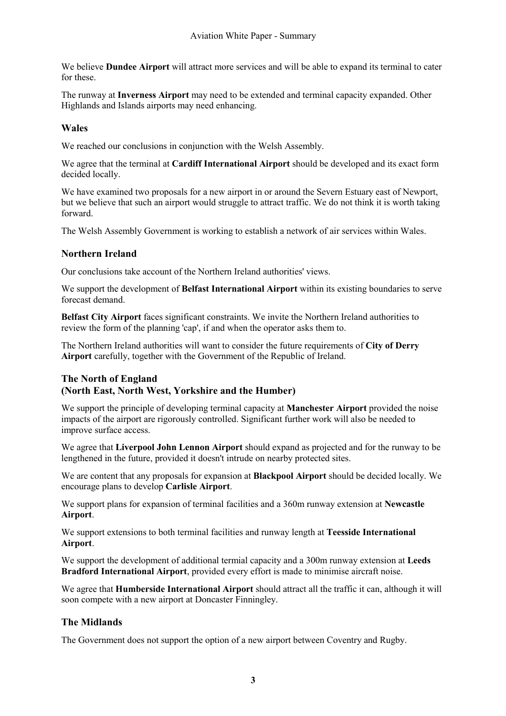We believe **Dundee Airport** will attract more services and will be able to expand its terminal to cater for these.

The runway at **Inverness Airport** may need to be extended and terminal capacity expanded. Other Highlands and Islands airports may need enhancing.

### **Wales**

We reached our conclusions in conjunction with the Welsh Assembly.

We agree that the terminal at **Cardiff International Airport** should be developed and its exact form decided locally.

We have examined two proposals for a new airport in or around the Severn Estuary east of Newport, but we believe that such an airport would struggle to attract traffic. We do not think it is worth taking forward.

The Welsh Assembly Government is working to establish a network of air services within Wales.

### **Northern Ireland**

Our conclusions take account of the Northern Ireland authorities' views.

We support the development of **Belfast International Airport** within its existing boundaries to serve forecast demand.

**Belfast City Airport** faces significant constraints. We invite the Northern Ireland authorities to review the form of the planning 'cap', if and when the operator asks them to.

The Northern Ireland authorities will want to consider the future requirements of **City of Derry Airport** carefully, together with the Government of the Republic of Ireland.

### **The North of England (North East, North West, Yorkshire and the Humber)**

We support the principle of developing terminal capacity at **Manchester Airport** provided the noise impacts of the airport are rigorously controlled. Significant further work will also be needed to improve surface access.

We agree that **Liverpool John Lennon Airport** should expand as projected and for the runway to be lengthened in the future, provided it doesn't intrude on nearby protected sites.

We are content that any proposals for expansion at **Blackpool Airport** should be decided locally. We encourage plans to develop **Carlisle Airport**.

We support plans for expansion of terminal facilities and a 360m runway extension at **Newcastle Airport**.

We support extensions to both terminal facilities and runway length at **Teesside International Airport**.

We support the development of additional termial capacity and a 300m runway extension at **Leeds Bradford International Airport**, provided every effort is made to minimise aircraft noise.

We agree that **Humberside International Airport** should attract all the traffic it can, although it will soon compete with a new airport at Doncaster Finningley.

### **The Midlands**

The Government does not support the option of a new airport between Coventry and Rugby.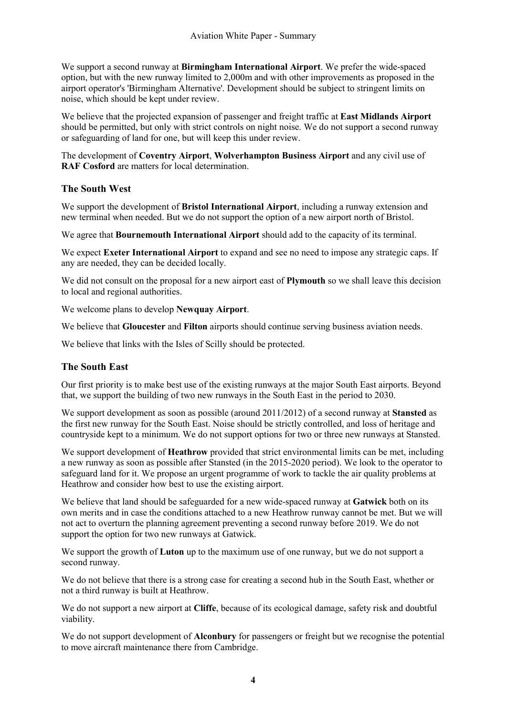We support a second runway at **Birmingham International Airport**. We prefer the wide-spaced option, but with the new runway limited to 2,000m and with other improvements as proposed in the airport operator's 'Birmingham Alternative'. Development should be subject to stringent limits on noise, which should be kept under review.

We believe that the projected expansion of passenger and freight traffic at **East Midlands Airport** should be permitted, but only with strict controls on night noise. We do not support a second runway or safeguarding of land for one, but will keep this under review.

The development of **Coventry Airport**, **Wolverhampton Business Airport** and any civil use of **RAF Cosford** are matters for local determination.

# **The South West**

We support the development of **Bristol International Airport**, including a runway extension and new terminal when needed. But we do not support the option of a new airport north of Bristol.

We agree that **Bournemouth International Airport** should add to the capacity of its terminal.

We expect **Exeter International Airport** to expand and see no need to impose any strategic caps. If any are needed, they can be decided locally.

We did not consult on the proposal for a new airport east of **Plymouth** so we shall leave this decision to local and regional authorities.

We welcome plans to develop **Newquay Airport**.

We believe that **Gloucester** and **Filton** airports should continue serving business aviation needs.

We believe that links with the Isles of Scilly should be protected.

# **The South East**

Our first priority is to make best use of the existing runways at the major South East airports. Beyond that, we support the building of two new runways in the South East in the period to 2030.

We support development as soon as possible (around 2011/2012) of a second runway at **Stansted** as the first new runway for the South East. Noise should be strictly controlled, and loss of heritage and countryside kept to a minimum. We do not support options for two or three new runways at Stansted.

We support development of **Heathrow** provided that strict environmental limits can be met, including a new runway as soon as possible after Stansted (in the 2015-2020 period). We look to the operator to safeguard land for it. We propose an urgent programme of work to tackle the air quality problems at Heathrow and consider how best to use the existing airport.

We believe that land should be safeguarded for a new wide-spaced runway at **Gatwick** both on its own merits and in case the conditions attached to a new Heathrow runway cannot be met. But we will not act to overturn the planning agreement preventing a second runway before 2019. We do not support the option for two new runways at Gatwick.

We support the growth of **Luton** up to the maximum use of one runway, but we do not support a second runway.

We do not believe that there is a strong case for creating a second hub in the South East, whether or not a third runway is built at Heathrow.

We do not support a new airport at **Cliffe**, because of its ecological damage, safety risk and doubtful viability.

We do not support development of **Alconbury** for passengers or freight but we recognise the potential to move aircraft maintenance there from Cambridge.